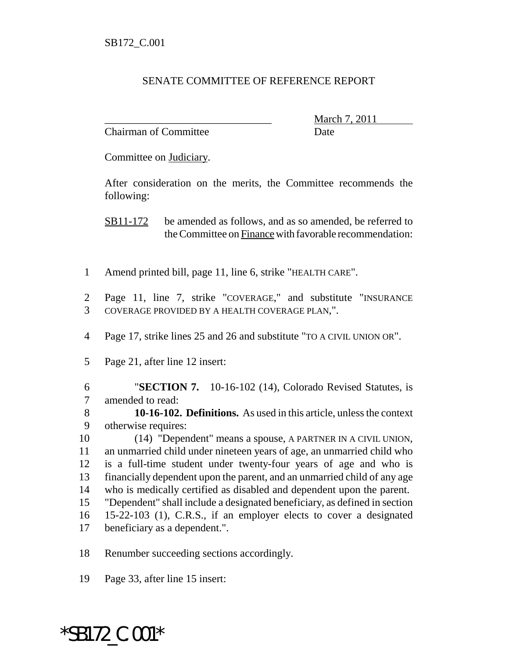## SENATE COMMITTEE OF REFERENCE REPORT

Chairman of Committee **Date** 

\_\_\_\_\_\_\_\_\_\_\_\_\_\_\_\_\_\_\_\_\_\_\_\_\_\_\_\_\_\_\_ March 7, 2011

Committee on Judiciary.

After consideration on the merits, the Committee recommends the following:

SB11-172 be amended as follows, and as so amended, be referred to the Committee on Finance with favorable recommendation:

- Amend printed bill, page 11, line 6, strike "HEALTH CARE".
- Page 11, line 7, strike "COVERAGE," and substitute "INSURANCE COVERAGE PROVIDED BY A HEALTH COVERAGE PLAN,".
- Page 17, strike lines 25 and 26 and substitute "TO A CIVIL UNION OR".
- Page 21, after line 12 insert:

 "**SECTION 7.** 10-16-102 (14), Colorado Revised Statutes, is amended to read:

 **10-16-102. Definitions.** As used in this article, unless the context otherwise requires:

 (14) "Dependent" means a spouse, A PARTNER IN A CIVIL UNION, an unmarried child under nineteen years of age, an unmarried child who is a full-time student under twenty-four years of age and who is financially dependent upon the parent, and an unmarried child of any age who is medically certified as disabled and dependent upon the parent.

- "Dependent" shall include a designated beneficiary, as defined in section 15-22-103 (1), C.R.S., if an employer elects to cover a designated
- beneficiary as a dependent.".

Renumber succeeding sections accordingly.

Page 33, after line 15 insert:

\*SB172\_C.001\*